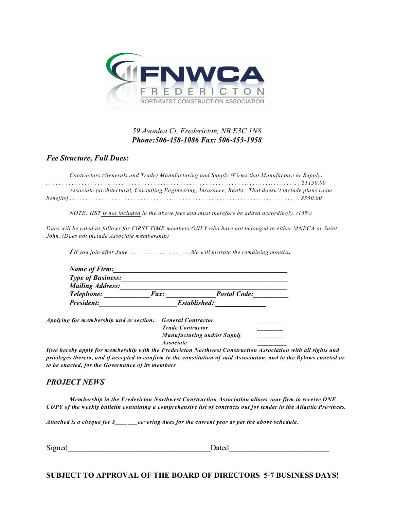

## *59 Avonlea Ct, Fredericton, NB E3C 1N8 Phone:506-458-1086 Fax: 506-453-1958*

*Fee Structure, Full Dues:*

| Contractors (Generals and Trade) Manufacturing and Supply (Firms that Manufacture or Supply)        |  |
|-----------------------------------------------------------------------------------------------------|--|
|                                                                                                     |  |
| Associate (architectural, Consulting Engineering, Insurance, Banks. That doesn't include plans room |  |
|                                                                                                     |  |

*NOTE: HST is not included in the above fees and must therefore be added accordingly. (15%)*

Dues will be rated as follows for FIRST TIME members ONLY who have not belonged to either MNECA or Saint *John. (Does not include Associate membership)*

 $\sqrt{If}$  you join after June  $\ldots \ldots \ldots \ldots$  We will prorate the remaining months.

| President:               | Established: |                     |
|--------------------------|--------------|---------------------|
| Telephone:               | <i>Fax:</i>  | <b>Postal Code:</b> |
| <b>Mailing Address:</b>  |              |                     |
| <b>Type of Business:</b> |              |                     |
| Name of Firm:            |              |                     |

*Applying for membership und er section: General Contractor \_\_\_\_\_\_\_\_*

*Trade Contractor \_\_\_\_\_\_\_\_ Manufacturing and/or Supply \_\_\_\_\_\_\_\_ Associate \_\_\_\_\_\_\_\_\_*

*I(we hereby apply for membership with the Fredericton Northwest Construction Association with all rights and* privileges thereto, and if accepted to confirm to the constitution of said Association, and to the Bylaws enacted or *to be enacted, for the Governance of its members*

## *PROJECT NEWS*

*Membership in the Fredericton Northwest Construction Association allows your firm to receive ONE* COPY of the weekly bulletin containing a comprehensive list of contracts out for tender in the Atlantic Provinces.

*Attached is a cheque for \$\_\_\_\_\_\_\_covering dues for the current year as per the above schedule.*

| $\sim$ .<br><b>Contract of the Second</b><br>Signeo | 'atec |
|-----------------------------------------------------|-------|
|                                                     |       |

**SUBJECT TO APPROVAL OF THE BOARD OF DIRECTORS 5-7 BUSINESS DAYS!**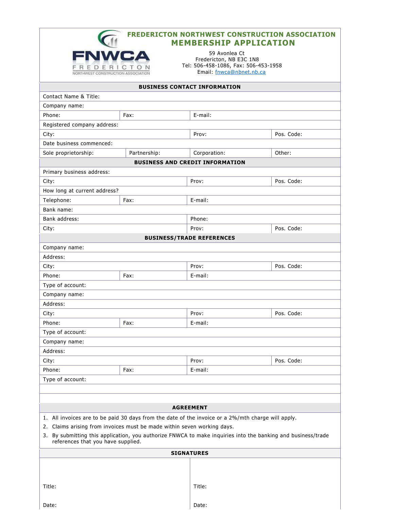| <b>FREDERICTON NORTHWEST CONSTRUCTION ASSOCIATION</b> |
|-------------------------------------------------------|
| <b>MEMBERSHIP APPLICATION</b>                         |



Date:

59 Avonie Ct Fredericton, NB E3C 1N8 Tel: 506-458-1086, Fax: 506-453-1958<br>Email: fnwca@nbnet.nb.ca

| <b>BUSINESS CONTACT INFORMATION</b>                                                                                                                |              |                                        |            |  |  |
|----------------------------------------------------------------------------------------------------------------------------------------------------|--------------|----------------------------------------|------------|--|--|
| Contact Name & Title:                                                                                                                              |              |                                        |            |  |  |
| Company name:                                                                                                                                      |              |                                        |            |  |  |
| Phone:                                                                                                                                             | Fax:         | E-mail:                                |            |  |  |
| Registered company address:                                                                                                                        |              |                                        |            |  |  |
| City:                                                                                                                                              |              | Prov:                                  | Pos. Code: |  |  |
| Date business commenced:                                                                                                                           |              |                                        |            |  |  |
| Sole proprietorship:                                                                                                                               | Partnership: | Corporation:                           | Other:     |  |  |
|                                                                                                                                                    |              | <b>BUSINESS AND CREDIT INFORMATION</b> |            |  |  |
| Primary business address:                                                                                                                          |              |                                        |            |  |  |
| City:                                                                                                                                              |              | Prov:                                  | Pos. Code: |  |  |
| How long at current address?                                                                                                                       |              |                                        |            |  |  |
| Telephone:                                                                                                                                         | Fax:         | E-mail:                                |            |  |  |
| Bank name:                                                                                                                                         |              |                                        |            |  |  |
| Bank address:                                                                                                                                      |              | Phone:                                 |            |  |  |
| City:                                                                                                                                              |              | Prov:                                  | Pos. Code: |  |  |
|                                                                                                                                                    |              | <b>BUSINESS/TRADE REFERENCES</b>       |            |  |  |
| Company name:                                                                                                                                      |              |                                        |            |  |  |
| Address:                                                                                                                                           |              |                                        |            |  |  |
| City:                                                                                                                                              |              | Prov:                                  | Pos. Code: |  |  |
| Phone:                                                                                                                                             | Fax:         | E-mail:                                |            |  |  |
| Type of account:                                                                                                                                   |              |                                        |            |  |  |
| Company name:                                                                                                                                      |              |                                        |            |  |  |
| Address:                                                                                                                                           |              |                                        |            |  |  |
| City:                                                                                                                                              |              | Prov:                                  | Pos. Code: |  |  |
| Phone:                                                                                                                                             | Fax:         | E-mail:                                |            |  |  |
| Type of account:                                                                                                                                   |              |                                        |            |  |  |
| Company name:                                                                                                                                      |              |                                        |            |  |  |
| Address:                                                                                                                                           |              |                                        |            |  |  |
| City:                                                                                                                                              |              | Prov:                                  | Pos. Code: |  |  |
| Phone:                                                                                                                                             | Fax:         | E-mail:                                |            |  |  |
| Type of account:                                                                                                                                   |              |                                        |            |  |  |
|                                                                                                                                                    |              |                                        |            |  |  |
|                                                                                                                                                    |              |                                        |            |  |  |
| <b>AGREEMENT</b>                                                                                                                                   |              |                                        |            |  |  |
| 1. All invoices are to be paid 30 days from the date of the invoice or a 2%/mth charge will apply.                                                 |              |                                        |            |  |  |
| 2. Claims arising from invoices must be made within seven working days.                                                                            |              |                                        |            |  |  |
| 3. By submitting this application, you authorize FNWCA to make inquiries into the banking and business/trade<br>references that you have supplied. |              |                                        |            |  |  |
| <b>SIGNATURES</b>                                                                                                                                  |              |                                        |            |  |  |
|                                                                                                                                                    |              |                                        |            |  |  |
|                                                                                                                                                    |              |                                        |            |  |  |
|                                                                                                                                                    |              |                                        |            |  |  |
| Title:                                                                                                                                             |              | Title:                                 |            |  |  |

Date: